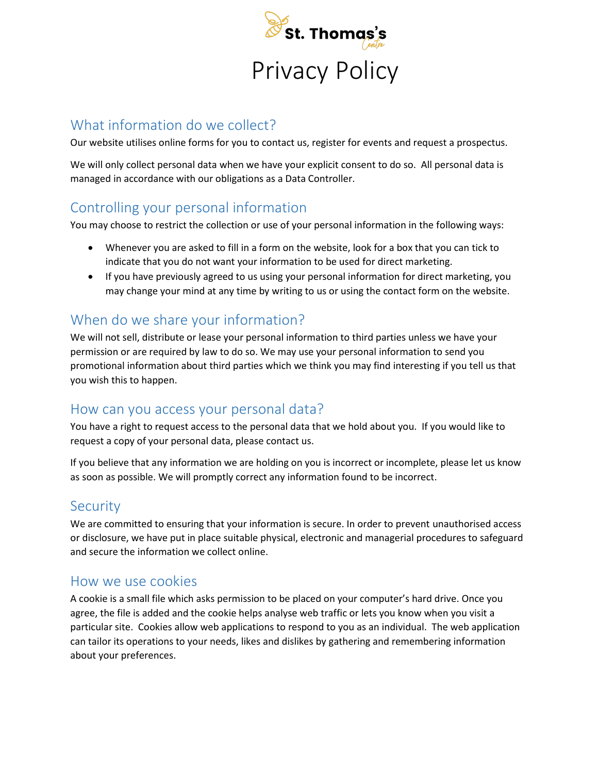

## What information do we collect?

Our website utilises online forms for you to contact us, register for events and request a prospectus.

We will only collect personal data when we have your explicit consent to do so. All personal data is managed in accordance with our obligations as a Data Controller.

## Controlling your personal information

You may choose to restrict the collection or use of your personal information in the following ways:

- Whenever you are asked to fill in a form on the website, look for a box that you can tick to indicate that you do not want your information to be used for direct marketing.
- If you have previously agreed to us using your personal information for direct marketing, you may change your mind at any time by writing to us or using the contact form on the website.

## When do we share your information?

We will not sell, distribute or lease your personal information to third parties unless we have your permission or are required by law to do so. We may use your personal information to send you promotional information about third parties which we think you may find interesting if you tell us that you wish this to happen.

### How can you access your personal data?

You have a right to request access to the personal data that we hold about you. If you would like to request a copy of your personal data, please contact us.

If you believe that any information we are holding on you is incorrect or incomplete, please let us know as soon as possible. We will promptly correct any information found to be incorrect.

### **Security**

We are committed to ensuring that your information is secure. In order to prevent unauthorised access or disclosure, we have put in place suitable physical, electronic and managerial procedures to safeguard and secure the information we collect online.

#### How we use cookies

A cookie is a small file which asks permission to be placed on your computer's hard drive. Once you agree, the file is added and the cookie helps analyse web traffic or lets you know when you visit a particular site. Cookies allow web applications to respond to you as an individual. The web application can tailor its operations to your needs, likes and dislikes by gathering and remembering information about your preferences.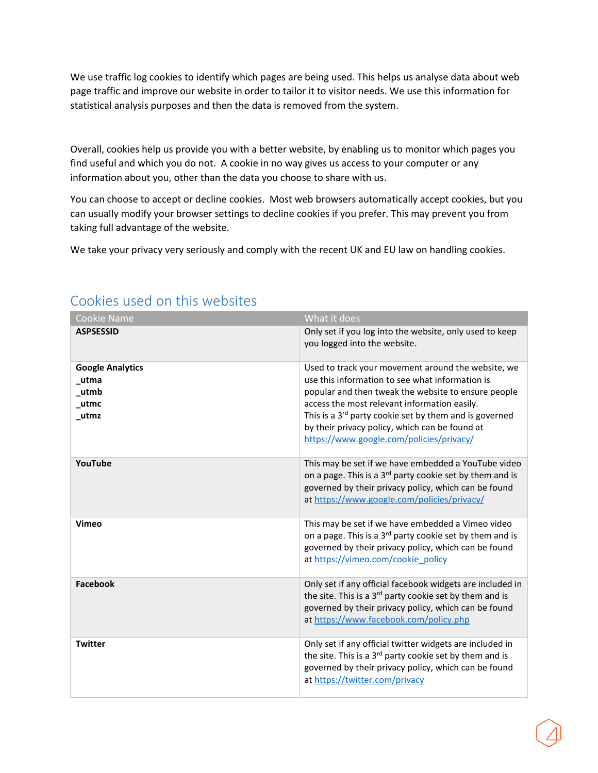We use traffic log cookies to identify which pages are being used. This helps us analyse data about web page traffic and improve our website in order to tailor it to visitor needs. We use this information for statistical analysis purposes and then the data is removed from the system.

Overall, cookies help us provide you with a better website, by enabling us to monitor which pages you find useful and which you do not. A cookie in no way gives us access to your computer or any information about you, other than the data you choose to share with us.

You can choose to accept or decline cookies. Most web browsers automatically accept cookies, but you can usually modify your browser settings to decline cookies if you prefer. This may prevent you from taking full advantage of the website.

We take your privacy very seriously and comply with the recent UK and EU law on handling cookies.

| <b>Cookie Name</b>                                         | What it does                                                                                                                                                                                                                                                                                                                                                                     |
|------------------------------------------------------------|----------------------------------------------------------------------------------------------------------------------------------------------------------------------------------------------------------------------------------------------------------------------------------------------------------------------------------------------------------------------------------|
| <b>ASPSESSID</b>                                           | Only set if you log into the website, only used to keep<br>you logged into the website.                                                                                                                                                                                                                                                                                          |
| <b>Google Analytics</b><br>_utma<br>_utmb<br>_utmc<br>utmz | Used to track your movement around the website, we<br>use this information to see what information is<br>popular and then tweak the website to ensure people<br>access the most relevant information easily.<br>This is a 3 <sup>rd</sup> party cookie set by them and is governed<br>by their privacy policy, which can be found at<br>https://www.google.com/policies/privacy/ |
| YouTube                                                    | This may be set if we have embedded a YouTube video<br>on a page. This is a 3 <sup>rd</sup> party cookie set by them and is<br>governed by their privacy policy, which can be found<br>at https://www.google.com/policies/privacy/                                                                                                                                               |
| Vimeo                                                      | This may be set if we have embedded a Vimeo video<br>on a page. This is a 3 <sup>rd</sup> party cookie set by them and is<br>governed by their privacy policy, which can be found<br>at https://vimeo.com/cookie_policy                                                                                                                                                          |
| <b>Facebook</b>                                            | Only set if any official facebook widgets are included in<br>the site. This is a 3 <sup>rd</sup> party cookie set by them and is<br>governed by their privacy policy, which can be found<br>at https://www.facebook.com/policy.php                                                                                                                                               |
| <b>Twitter</b>                                             | Only set if any official twitter widgets are included in<br>the site. This is a 3 <sup>rd</sup> party cookie set by them and is<br>governed by their privacy policy, which can be found<br>at https://twitter.com/privacy                                                                                                                                                        |

# Cookies used on this websites